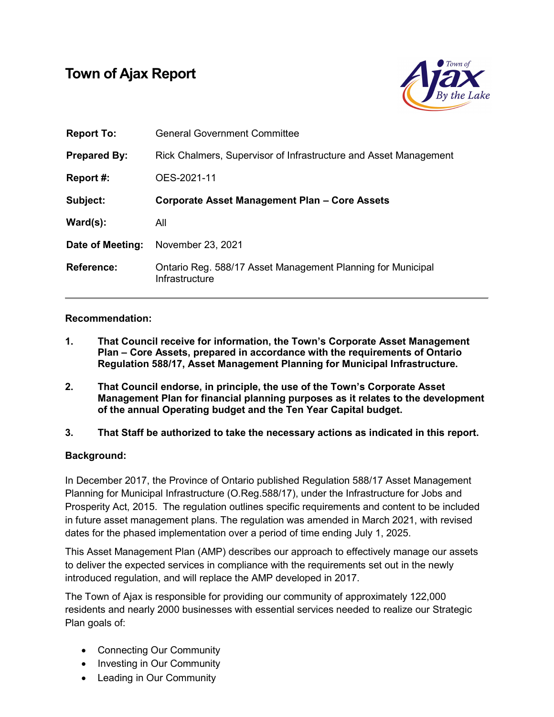# Town of Ajax Report



| <b>Report To:</b>    | <b>General Government Committee</b>                                           |
|----------------------|-------------------------------------------------------------------------------|
| <b>Prepared By:</b>  | Rick Chalmers, Supervisor of Infrastructure and Asset Management              |
| Report #:            | OES-2021-11                                                                   |
| Subject:             | Corporate Asset Management Plan - Core Assets                                 |
| $\textsf{Ward}(s)$ : | All                                                                           |
| Date of Meeting:     | November 23, 2021                                                             |
| <b>Reference:</b>    | Ontario Reg. 588/17 Asset Management Planning for Municipal<br>Infrastructure |

### Recommendation:

- 1. That Council receive for information, the Town's Corporate Asset Management Plan – Core Assets, prepared in accordance with the requirements of Ontario Regulation 588/17, Asset Management Planning for Municipal Infrastructure.
- 2. That Council endorse, in principle, the use of the Town's Corporate Asset Management Plan for financial planning purposes as it relates to the development of the annual Operating budget and the Ten Year Capital budget.
- 3. That Staff be authorized to take the necessary actions as indicated in this report.

# Background:

In December 2017, the Province of Ontario published Regulation 588/17 Asset Management Planning for Municipal Infrastructure (O.Reg.588/17), under the Infrastructure for Jobs and Prosperity Act, 2015. The regulation outlines specific requirements and content to be included in future asset management plans. The regulation was amended in March 2021, with revised dates for the phased implementation over a period of time ending July 1, 2025.

This Asset Management Plan (AMP) describes our approach to effectively manage our assets to deliver the expected services in compliance with the requirements set out in the newly introduced regulation, and will replace the AMP developed in 2017.

The Town of Ajax is responsible for providing our community of approximately 122,000 residents and nearly 2000 businesses with essential services needed to realize our Strategic Plan goals of:

- Connecting Our Community
- Investing in Our Community
- Leading in Our Community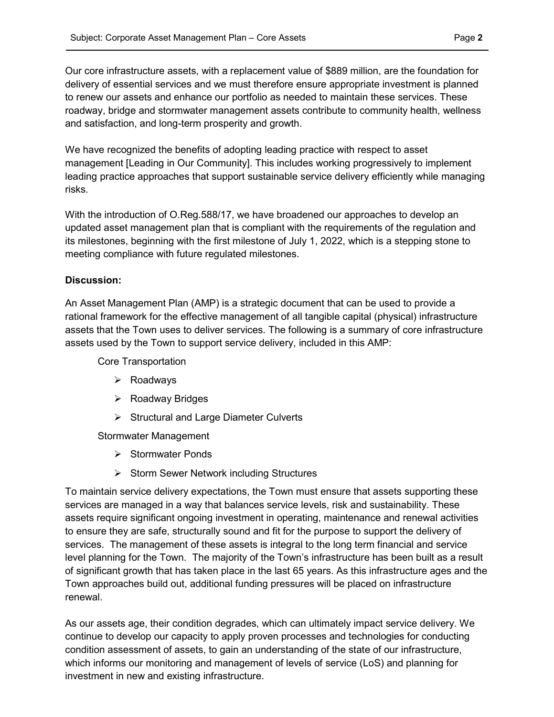Our core infrastructure assets, with a replacement value of \$889 million, are the foundation for delivery of essential services and we must therefore ensure appropriate investment is planned to renew our assets and enhance our portfolio as needed to maintain these services. These roadway, bridge and stormwater management assets contribute to community health, wellness and satisfaction, and long-term prosperity and growth.

We have recognized the benefits of adopting leading practice with respect to asset management [Leading in Our Community]. This includes working progressively to implement leading practice approaches that support sustainable service delivery efficiently while managing risks.

With the introduction of O.Reg.588/17, we have broadened our approaches to develop an updated asset management plan that is compliant with the requirements of the regulation and its milestones, beginning with the first milestone of July 1, 2022, which is a stepping stone to meeting compliance with future regulated milestones.

### Discussion:

An Asset Management Plan (AMP) is a strategic document that can be used to provide a rational framework for the effective management of all tangible capital (physical) infrastructure assets that the Town uses to deliver services. The following is a summary of core infrastructure assets used by the Town to support service delivery, included in this AMP:

Core Transportation

- Roadways
- $\triangleright$  Roadway Bridges
- $\triangleright$  Structural and Large Diameter Culverts

Stormwater Management

- $\triangleright$  Stormwater Ponds
- Storm Sewer Network including Structures

To maintain service delivery expectations, the Town must ensure that assets supporting these services are managed in a way that balances service levels, risk and sustainability. These assets require significant ongoing investment in operating, maintenance and renewal activities to ensure they are safe, structurally sound and fit for the purpose to support the delivery of services. The management of these assets is integral to the long term financial and service level planning for the Town. The majority of the Town's infrastructure has been built as a result of significant growth that has taken place in the last 65 years. As this infrastructure ages and the Town approaches build out, additional funding pressures will be placed on infrastructure renewal.

As our assets age, their condition degrades, which can ultimately impact service delivery. We continue to develop our capacity to apply proven processes and technologies for conducting condition assessment of assets, to gain an understanding of the state of our infrastructure, which informs our monitoring and management of levels of service (LoS) and planning for investment in new and existing infrastructure.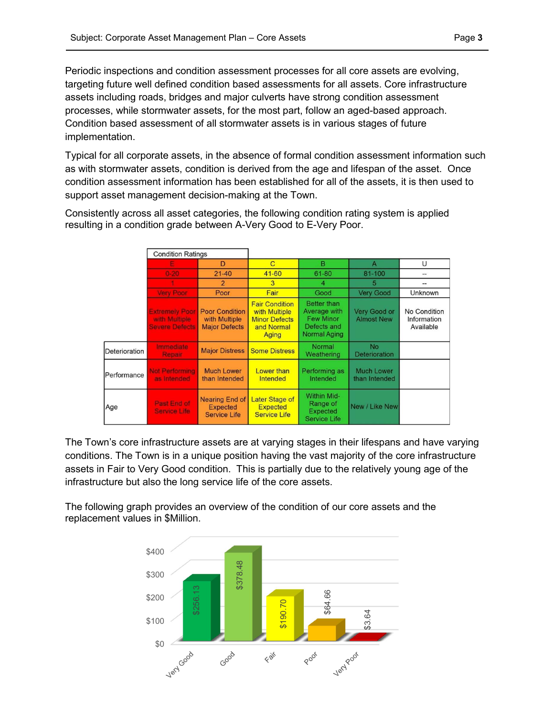Periodic inspections and condition assessment processes for all core assets are evolving, targeting future well defined condition based assessments for all assets. Core infrastructure assets including roads, bridges and major culverts have strong condition assessment processes, while stormwater assets, for the most part, follow an aged-based approach. Condition based assessment of all stormwater assets is in various stages of future implementation.

Typical for all corporate assets, in the absence of formal condition assessment information such as with stormwater assets, condition is derived from the age and lifespan of the asset. Once condition assessment information has been established for all of the assets, it is then used to support asset management decision-making at the Town.

Consistently across all asset categories, the following condition rating system is applied resulting in a condition grade between A-Very Good to E-Very Poor.

|               | <b>Condition Ratings</b>                                        |                                                                 |                                                                                       |                                                                                              |                                    |                                          |
|---------------|-----------------------------------------------------------------|-----------------------------------------------------------------|---------------------------------------------------------------------------------------|----------------------------------------------------------------------------------------------|------------------------------------|------------------------------------------|
|               |                                                                 | D                                                               | $\overline{C}$                                                                        | B                                                                                            | $\mathsf{A}$                       | U                                        |
|               | $0 - 20$                                                        | $21 - 40$                                                       | $41 - 60$                                                                             | $61 - 80$                                                                                    | 81-100                             | --                                       |
|               |                                                                 | $\overline{2}$                                                  | 3                                                                                     | 4                                                                                            | 5                                  |                                          |
|               | <b>Very Poor</b>                                                | Poor                                                            | Fair                                                                                  | Good                                                                                         | Very Good                          | Unknown                                  |
|               | <b>Extremely Poor</b><br>with Multiple<br><b>Severe Defects</b> | <b>Poor Condition</b><br>with Multiple<br><b>Major Defects</b>  | <b>Fair Condition</b><br>with Multiple<br><b>Minor Defects</b><br>and Normal<br>Aging | <b>Better than</b><br>Average with<br><b>Few Minor</b><br>Defects and<br><b>Normal Aging</b> | Very Good or<br><b>Almost New</b>  | No Condition<br>Information<br>Available |
| Deterioration | Immediate<br>Repair                                             | <b>Major Distress</b>                                           | <b>Some Distress</b>                                                                  | Normal<br>Weathering                                                                         | <b>No</b><br><b>Deterioration</b>  |                                          |
| Performance   | <b>Not Performing</b><br>as Intended                            | <b>Much Lower</b><br>than Intended                              | Lower than<br>Intended                                                                | Performing as<br>Intended                                                                    | <b>Much Lower</b><br>than Intended |                                          |
| Age           | Past End of<br><b>Service Life</b>                              | <b>Nearing End of</b><br><b>Expected</b><br><b>Service Life</b> | Later Stage of<br><b>Expected</b><br><b>Service Life</b>                              | Within Mid-<br>Range of<br><b>Expected</b><br><b>Service Life</b>                            | New / Like New                     |                                          |

The Town's core infrastructure assets are at varying stages in their lifespans and have varying conditions. The Town is in a unique position having the vast majority of the core infrastructure assets in Fair to Very Good condition. This is partially due to the relatively young age of the infrastructure but also the long service life of the core assets.

The following graph provides an overview of the condition of our core assets and the replacement values in \$Million.

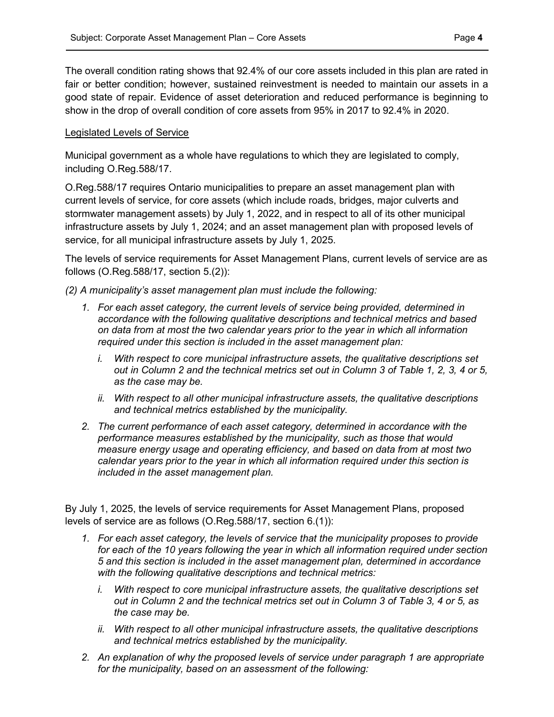The overall condition rating shows that 92.4% of our core assets included in this plan are rated in fair or better condition; however, sustained reinvestment is needed to maintain our assets in a good state of repair. Evidence of asset deterioration and reduced performance is beginning to show in the drop of overall condition of core assets from 95% in 2017 to 92.4% in 2020.

### Legislated Levels of Service

Municipal government as a whole have regulations to which they are legislated to comply, including O.Reg.588/17.

O.Reg.588/17 requires Ontario municipalities to prepare an asset management plan with current levels of service, for core assets (which include roads, bridges, major culverts and stormwater management assets) by July 1, 2022, and in respect to all of its other municipal infrastructure assets by July 1, 2024; and an asset management plan with proposed levels of service, for all municipal infrastructure assets by July 1, 2025.

The levels of service requirements for Asset Management Plans, current levels of service are as follows (O.Reg.588/17, section 5.(2)):

(2) A municipality's asset management plan must include the following:

- 1. For each asset category, the current levels of service being provided, determined in accordance with the following qualitative descriptions and technical metrics and based on data from at most the two calendar years prior to the year in which all information required under this section is included in the asset management plan:
	- i. With respect to core municipal infrastructure assets, the qualitative descriptions set out in Column 2 and the technical metrics set out in Column 3 of Table 1, 2, 3, 4 or 5, as the case may be.
	- ii. With respect to all other municipal infrastructure assets, the qualitative descriptions and technical metrics established by the municipality.
- 2. The current performance of each asset category, determined in accordance with the performance measures established by the municipality, such as those that would measure energy usage and operating efficiency, and based on data from at most two calendar years prior to the year in which all information required under this section is included in the asset management plan.

By July 1, 2025, the levels of service requirements for Asset Management Plans, proposed levels of service are as follows (O.Reg.588/17, section 6.(1)):

- 1. For each asset category, the levels of service that the municipality proposes to provide for each of the 10 years following the year in which all information required under section 5 and this section is included in the asset management plan, determined in accordance with the following qualitative descriptions and technical metrics:
	- i. With respect to core municipal infrastructure assets, the qualitative descriptions set out in Column 2 and the technical metrics set out in Column 3 of Table 3, 4 or 5, as the case may be.
	- ii. With respect to all other municipal infrastructure assets, the qualitative descriptions and technical metrics established by the municipality.
- 2. An explanation of why the proposed levels of service under paragraph 1 are appropriate for the municipality, based on an assessment of the following: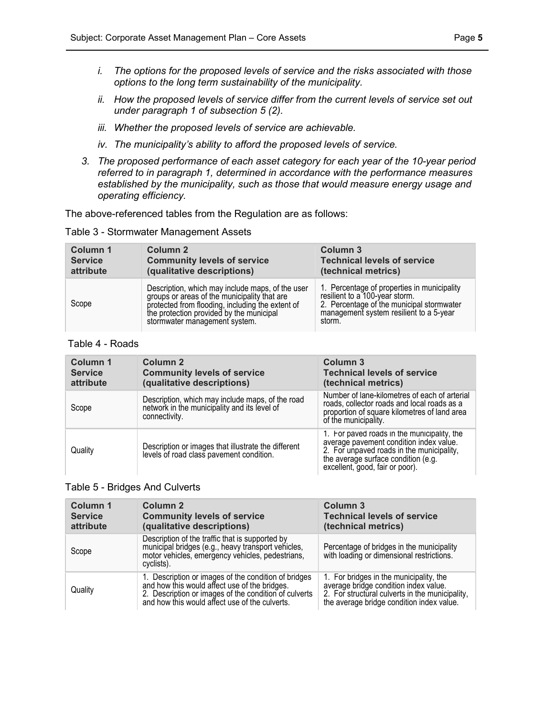- i. The options for the proposed levels of service and the risks associated with those options to the long term sustainability of the municipality.
- ii. How the proposed levels of service differ from the current levels of service set out under paragraph 1 of subsection 5 (2).
- iii. Whether the proposed levels of service are achievable.
- iv. The municipality's ability to afford the proposed levels of service.
- 3. The proposed performance of each asset category for each year of the 10-year period referred to in paragraph 1, determined in accordance with the performance measures established by the municipality, such as those that would measure energy usage and operating efficiency.

The above-referenced tables from the Regulation are as follows:

Table 3 - Stormwater Management Assets

| Column 1       | Column 2                                                                                                                                                                                                                          | Column 3                                                                                                                                                                        |
|----------------|-----------------------------------------------------------------------------------------------------------------------------------------------------------------------------------------------------------------------------------|---------------------------------------------------------------------------------------------------------------------------------------------------------------------------------|
| <b>Service</b> | <b>Community levels of service</b>                                                                                                                                                                                                | <b>Technical levels of service</b>                                                                                                                                              |
| attribute      | (qualitative descriptions)                                                                                                                                                                                                        | (technical metrics)                                                                                                                                                             |
| Scope          | Description, which may include maps, of the user<br>groups or areas of the municipality that are<br>protected from flooding, including the extent of<br>the protection provided by the municipal<br>stormwater management system. | 1. Percentage of properties in municipality<br>resilient to a 100-year storm.<br>2. Percentage of the municipal stormwater<br>management system resilient to a 5-year<br>storm. |

#### Table 4 - Roads

| Column 1<br><b>Service</b><br>attribute | Column 2<br><b>Community levels of service</b><br>(qualitative descriptions)                                      | Column 3<br><b>Technical levels of service</b><br>(technical metrics)                                                                                                                                         |
|-----------------------------------------|-------------------------------------------------------------------------------------------------------------------|---------------------------------------------------------------------------------------------------------------------------------------------------------------------------------------------------------------|
| Scope                                   | Description, which may include maps, of the road<br>network in the municipality and its level of<br>connectivity. | Number of lane-kilometres of each of arterial<br>roads, collector roads and local roads as a<br>proportion of square kilometres of land area<br>of the municipality.                                          |
| Quality                                 | Description or images that illustrate the different<br>levels of road class pavement condition.                   | 1. For paved roads in the municipality, the<br>average pavement condition index value.<br>2. For unpaved roads in the municipality,<br>the average surface condition (e.g.<br>excellent, good, fair or poor). |

#### Table 5 - Bridges And Culverts

| <b>Column 1</b><br><b>Service</b><br>attribute | Column <sub>2</sub><br><b>Community levels of service</b><br>(qualitative descriptions)                                                                                                                          | Column 3<br><b>Technical levels of service</b><br>(technical metrics)                                                                                                            |
|------------------------------------------------|------------------------------------------------------------------------------------------------------------------------------------------------------------------------------------------------------------------|----------------------------------------------------------------------------------------------------------------------------------------------------------------------------------|
| Scope                                          | Description of the traffic that is supported by<br>municipal bridges (e.g., heavy transport vehicles,<br>motor vehicles, emergency vehicles, pedestrians,<br>cyclists).                                          | Percentage of bridges in the municipality<br>with loading or dimensional restrictions.                                                                                           |
| Quality                                        | 1. Description or images of the condition of bridges<br>and how this would affect use of the bridges.<br>2. Description or images of the condition of culverts<br>and how this would affect use of the culverts. | 1. For bridges in the municipality, the<br>average bridge condition index value.<br>2. For structural culverts in the municipality,<br>the average bridge condition index value. |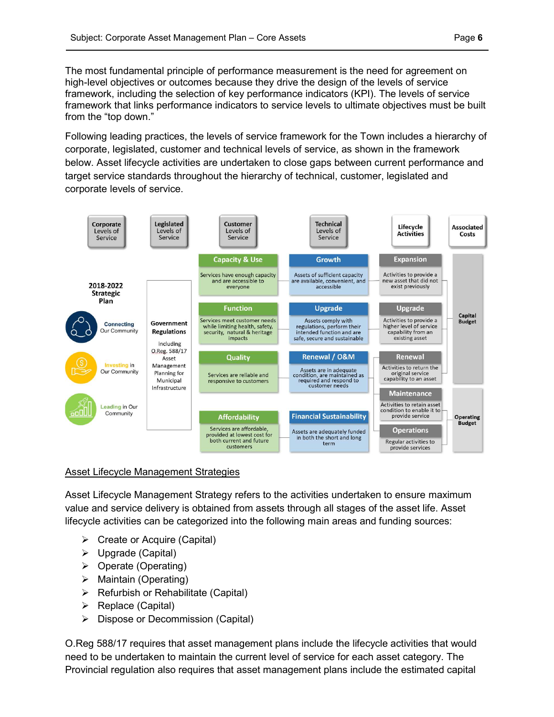The most fundamental principle of performance measurement is the need for agreement on high-level objectives or outcomes because they drive the design of the levels of service framework, including the selection of key performance indicators (KPI). The levels of service framework that links performance indicators to service levels to ultimate objectives must be built from the "top down."

Following leading practices, the levels of service framework for the Town includes a hierarchy of corporate, legislated, customer and technical levels of service, as shown in the framework below. Asset lifecycle activities are undertaken to close gaps between current performance and target service standards throughout the hierarchy of technical, customer, legislated and corporate levels of service.



### Asset Lifecycle Management Strategies

Asset Lifecycle Management Strategy refers to the activities undertaken to ensure maximum value and service delivery is obtained from assets through all stages of the asset life. Asset lifecycle activities can be categorized into the following main areas and funding sources:

- Create or Acquire (Capital)
- Upgrade (Capital)
- $\triangleright$  Operate (Operating)
- $\triangleright$  Maintain (Operating)
- $\triangleright$  Refurbish or Rehabilitate (Capital)
- $\triangleright$  Replace (Capital)
- $\triangleright$  Dispose or Decommission (Capital)

O.Reg 588/17 requires that asset management plans include the lifecycle activities that would need to be undertaken to maintain the current level of service for each asset category. The Provincial regulation also requires that asset management plans include the estimated capital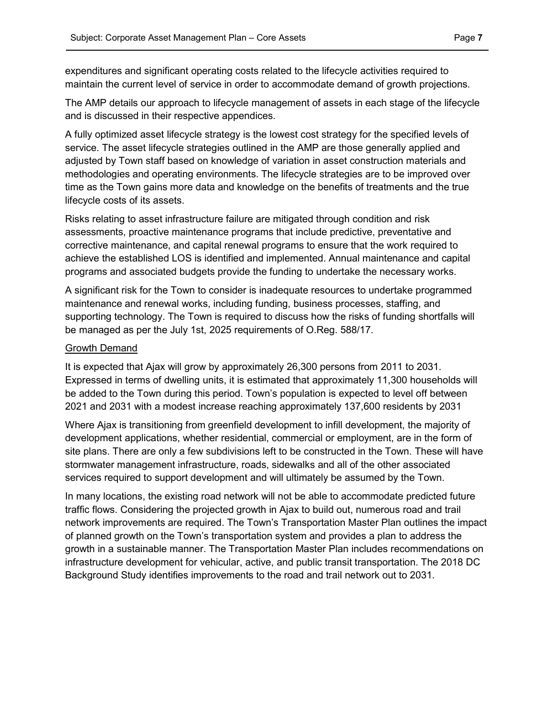expenditures and significant operating costs related to the lifecycle activities required to maintain the current level of service in order to accommodate demand of growth projections.

The AMP details our approach to lifecycle management of assets in each stage of the lifecycle and is discussed in their respective appendices.

A fully optimized asset lifecycle strategy is the lowest cost strategy for the specified levels of service. The asset lifecycle strategies outlined in the AMP are those generally applied and adjusted by Town staff based on knowledge of variation in asset construction materials and methodologies and operating environments. The lifecycle strategies are to be improved over time as the Town gains more data and knowledge on the benefits of treatments and the true lifecycle costs of its assets.

Risks relating to asset infrastructure failure are mitigated through condition and risk assessments, proactive maintenance programs that include predictive, preventative and corrective maintenance, and capital renewal programs to ensure that the work required to achieve the established LOS is identified and implemented. Annual maintenance and capital programs and associated budgets provide the funding to undertake the necessary works.

A significant risk for the Town to consider is inadequate resources to undertake programmed maintenance and renewal works, including funding, business processes, staffing, and supporting technology. The Town is required to discuss how the risks of funding shortfalls will be managed as per the July 1st, 2025 requirements of O.Reg. 588/17.

#### Growth Demand

It is expected that Ajax will grow by approximately 26,300 persons from 2011 to 2031. Expressed in terms of dwelling units, it is estimated that approximately 11,300 households will be added to the Town during this period. Town's population is expected to level off between 2021 and 2031 with a modest increase reaching approximately 137,600 residents by 2031

Where Ajax is transitioning from greenfield development to infill development, the majority of development applications, whether residential, commercial or employment, are in the form of site plans. There are only a few subdivisions left to be constructed in the Town. These will have stormwater management infrastructure, roads, sidewalks and all of the other associated services required to support development and will ultimately be assumed by the Town.

In many locations, the existing road network will not be able to accommodate predicted future traffic flows. Considering the projected growth in Ajax to build out, numerous road and trail network improvements are required. The Town's Transportation Master Plan outlines the impact of planned growth on the Town's transportation system and provides a plan to address the growth in a sustainable manner. The Transportation Master Plan includes recommendations on infrastructure development for vehicular, active, and public transit transportation. The 2018 DC Background Study identifies improvements to the road and trail network out to 2031.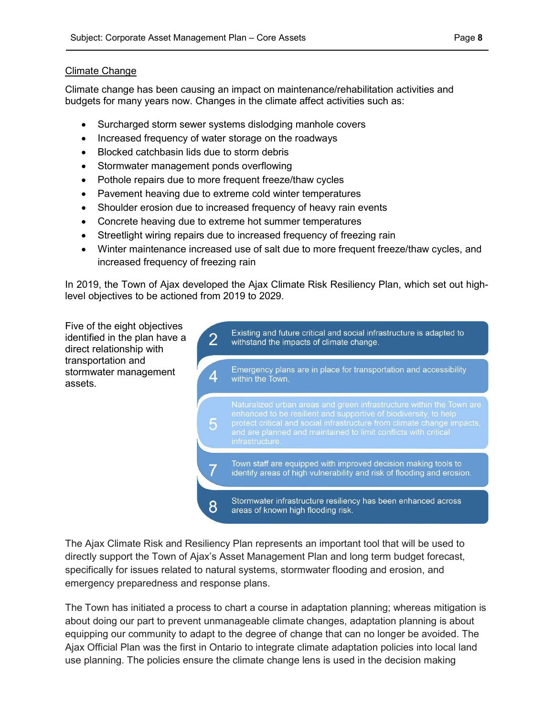### Climate Change

Climate change has been causing an impact on maintenance/rehabilitation activities and budgets for many years now. Changes in the climate affect activities such as:

- Surcharged storm sewer systems dislodging manhole covers
- Increased frequency of water storage on the roadways
- Blocked catchbasin lids due to storm debris
- Stormwater management ponds overflowing
- Pothole repairs due to more frequent freeze/thaw cycles
- Pavement heaving due to extreme cold winter temperatures
- Shoulder erosion due to increased frequency of heavy rain events
- Concrete heaving due to extreme hot summer temperatures
- Streetlight wiring repairs due to increased frequency of freezing rain
- Winter maintenance increased use of salt due to more frequent freeze/thaw cycles, and increased frequency of freezing rain

In 2019, the Town of Ajax developed the Ajax Climate Risk Resiliency Plan, which set out highlevel objectives to be actioned from 2019 to 2029.

Five of the eight objectives identified in the plan have a direct relationship with transportation and stormwater management assets.



The Ajax Climate Risk and Resiliency Plan represents an important tool that will be used to directly support the Town of Ajax's Asset Management Plan and long term budget forecast, specifically for issues related to natural systems, stormwater flooding and erosion, and emergency preparedness and response plans.

The Town has initiated a process to chart a course in adaptation planning; whereas mitigation is about doing our part to prevent unmanageable climate changes, adaptation planning is about equipping our community to adapt to the degree of change that can no longer be avoided. The Ajax Official Plan was the first in Ontario to integrate climate adaptation policies into local land use planning. The policies ensure the climate change lens is used in the decision making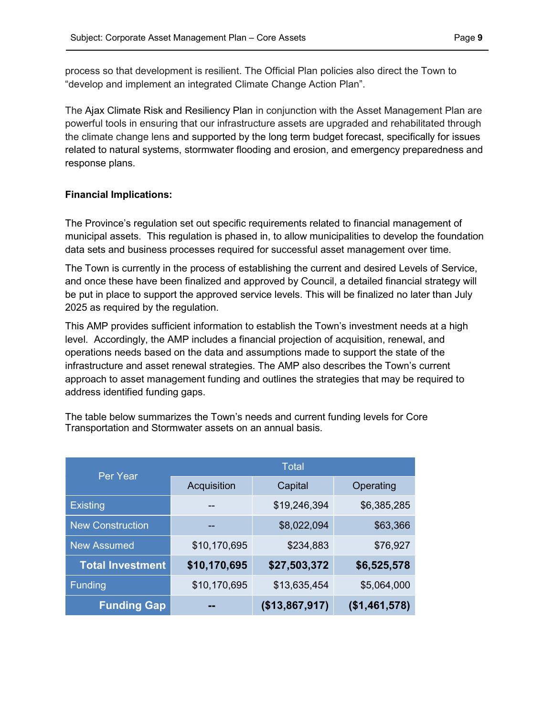process so that development is resilient. The Official Plan policies also direct the Town to "develop and implement an integrated Climate Change Action Plan".

The Ajax Climate Risk and Resiliency Plan in conjunction with the Asset Management Plan are powerful tools in ensuring that our infrastructure assets are upgraded and rehabilitated through the climate change lens and supported by the long term budget forecast, specifically for issues related to natural systems, stormwater flooding and erosion, and emergency preparedness and response plans.

### Financial Implications:

The Province's regulation set out specific requirements related to financial management of municipal assets. This regulation is phased in, to allow municipalities to develop the foundation data sets and business processes required for successful asset management over time.

The Town is currently in the process of establishing the current and desired Levels of Service, and once these have been finalized and approved by Council, a detailed financial strategy will be put in place to support the approved service levels. This will be finalized no later than July 2025 as required by the regulation.

This AMP provides sufficient information to establish the Town's investment needs at a high level. Accordingly, the AMP includes a financial projection of acquisition, renewal, and operations needs based on the data and assumptions made to support the state of the infrastructure and asset renewal strategies. The AMP also describes the Town's current approach to asset management funding and outlines the strategies that may be required to address identified funding gaps.

| The table below summarizes the Town's needs and current funding levels for Core |
|---------------------------------------------------------------------------------|
| Transportation and Stormwater assets on an annual basis.                        |

| Per Year                | <b>Total</b> |                |                |  |
|-------------------------|--------------|----------------|----------------|--|
|                         | Acquisition  | Capital        | Operating      |  |
| <b>Existing</b>         |              | \$19,246,394   | \$6,385,285    |  |
| <b>New Construction</b> | --           | \$8,022,094    | \$63,366       |  |
| <b>New Assumed</b>      | \$10,170,695 | \$234,883      | \$76,927       |  |
| <b>Total Investment</b> | \$10,170,695 | \$27,503,372   | \$6,525,578    |  |
| <b>Funding</b>          | \$10,170,695 | \$13,635,454   | \$5,064,000    |  |
| <b>Funding Gap</b>      |              | (\$13,867,917) | ( \$1,461,578) |  |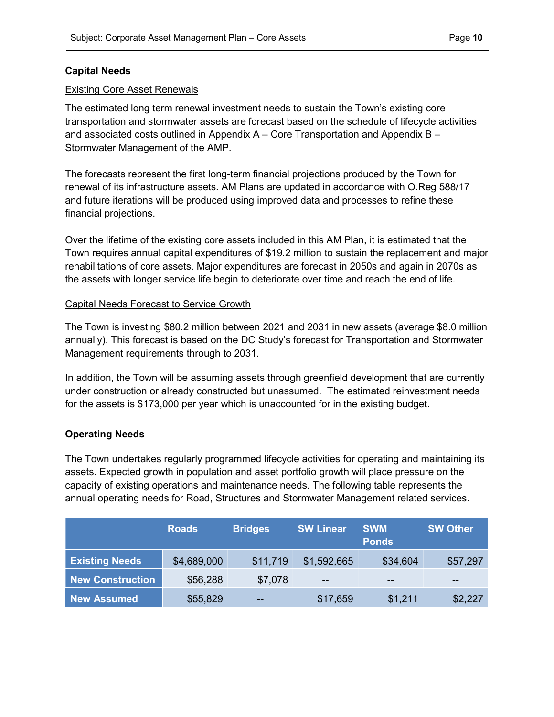### Capital Needs

#### Existing Core Asset Renewals

The estimated long term renewal investment needs to sustain the Town's existing core transportation and stormwater assets are forecast based on the schedule of lifecycle activities and associated costs outlined in Appendix A – Core Transportation and Appendix B – Stormwater Management of the AMP.

The forecasts represent the first long-term financial projections produced by the Town for renewal of its infrastructure assets. AM Plans are updated in accordance with O.Reg 588/17 and future iterations will be produced using improved data and processes to refine these financial projections.

Over the lifetime of the existing core assets included in this AM Plan, it is estimated that the Town requires annual capital expenditures of \$19.2 million to sustain the replacement and major rehabilitations of core assets. Major expenditures are forecast in 2050s and again in 2070s as the assets with longer service life begin to deteriorate over time and reach the end of life.

### Capital Needs Forecast to Service Growth

The Town is investing \$80.2 million between 2021 and 2031 in new assets (average \$8.0 million annually). This forecast is based on the DC Study's forecast for Transportation and Stormwater Management requirements through to 2031.

In addition, the Town will be assuming assets through greenfield development that are currently under construction or already constructed but unassumed. The estimated reinvestment needs for the assets is \$173,000 per year which is unaccounted for in the existing budget.

### Operating Needs

The Town undertakes regularly programmed lifecycle activities for operating and maintaining its assets. Expected growth in population and asset portfolio growth will place pressure on the capacity of existing operations and maintenance needs. The following table represents the annual operating needs for Road, Structures and Stormwater Management related services.

|                       | <b>Roads</b> | <b>Bridges</b> | <b>SW Linear</b> | <b>SWM</b><br><b>Ponds</b> | <b>SW Other</b> |
|-----------------------|--------------|----------------|------------------|----------------------------|-----------------|
| <b>Existing Needs</b> | \$4,689,000  | \$11,719       | \$1,592,665      | \$34,604                   | \$57,297        |
| New Construction      | \$56,288     | \$7,078        | $-$              | $- -$                      | --              |
| <b>New Assumed</b>    | \$55,829     | $- -$          | \$17,659         | \$1,211                    | \$2,227         |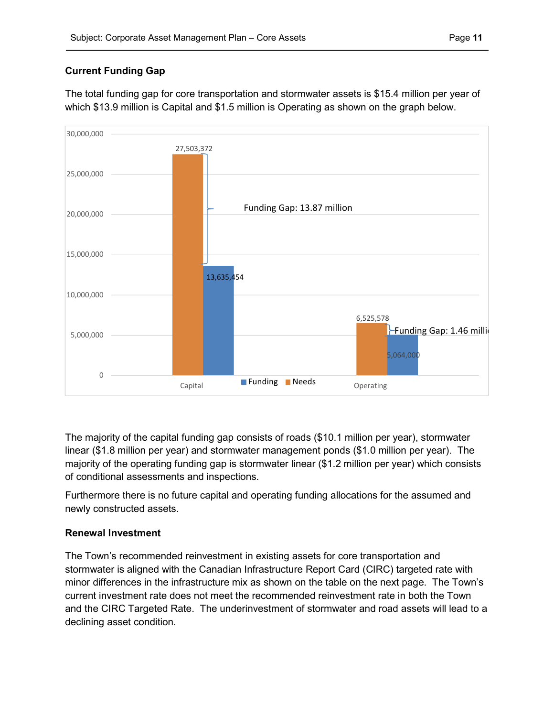# Current Funding Gap

The total funding gap for core transportation and stormwater assets is \$15.4 million per year of which \$13.9 million is Capital and \$1.5 million is Operating as shown on the graph below.



The majority of the capital funding gap consists of roads (\$10.1 million per year), stormwater linear (\$1.8 million per year) and stormwater management ponds (\$1.0 million per year). The majority of the operating funding gap is stormwater linear (\$1.2 million per year) which consists of conditional assessments and inspections.

Furthermore there is no future capital and operating funding allocations for the assumed and newly constructed assets.

# Renewal Investment

The Town's recommended reinvestment in existing assets for core transportation and stormwater is aligned with the Canadian Infrastructure Report Card (CIRC) targeted rate with minor differences in the infrastructure mix as shown on the table on the next page. The Town's current investment rate does not meet the recommended reinvestment rate in both the Town and the CIRC Targeted Rate. The underinvestment of stormwater and road assets will lead to a declining asset condition.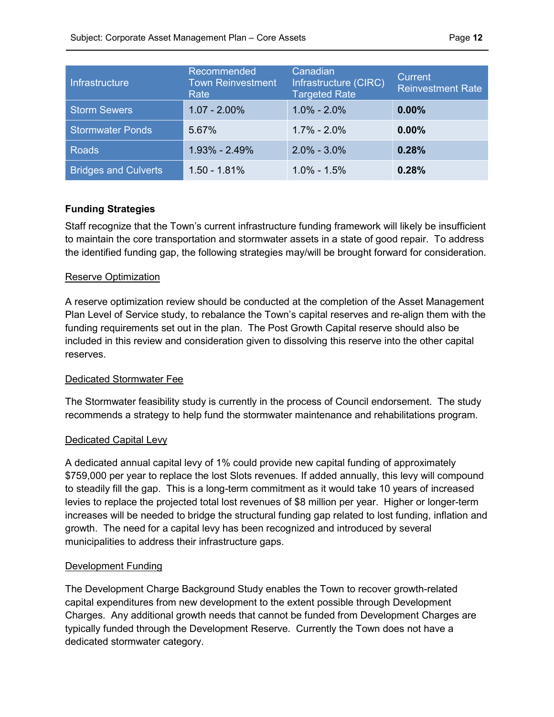| Infrastructure              | Recommended<br><b>Town Reinvestment</b><br>Rate | Canadian<br>Infrastructure (CIRC)<br>Targeted Rate | <b>Current</b><br><b>Reinvestment Rate</b> |
|-----------------------------|-------------------------------------------------|----------------------------------------------------|--------------------------------------------|
| <b>Storm Sewers</b>         | $1.07 - 2.00\%$                                 | $1.0\% - 2.0\%$                                    | 0.00%                                      |
| <b>Stormwater Ponds</b>     | 5.67%                                           | $1.7\% - 2.0\%$                                    | 0.00%                                      |
| <b>Roads</b>                | $1.93\% - 2.49\%$                               | $2.0\% - 3.0\%$                                    | 0.28%                                      |
| <b>Bridges and Culverts</b> | $1.50 - 1.81%$                                  | $1.0\% - 1.5\%$                                    | 0.28%                                      |

### Funding Strategies

Staff recognize that the Town's current infrastructure funding framework will likely be insufficient to maintain the core transportation and stormwater assets in a state of good repair. To address the identified funding gap, the following strategies may/will be brought forward for consideration.

### Reserve Optimization

A reserve optimization review should be conducted at the completion of the Asset Management Plan Level of Service study, to rebalance the Town's capital reserves and re-align them with the funding requirements set out in the plan. The Post Growth Capital reserve should also be included in this review and consideration given to dissolving this reserve into the other capital reserves.

### Dedicated Stormwater Fee

The Stormwater feasibility study is currently in the process of Council endorsement. The study recommends a strategy to help fund the stormwater maintenance and rehabilitations program.

### Dedicated Capital Levy

A dedicated annual capital levy of 1% could provide new capital funding of approximately \$759,000 per year to replace the lost Slots revenues. If added annually, this levy will compound to steadily fill the gap. This is a long-term commitment as it would take 10 years of increased levies to replace the projected total lost revenues of \$8 million per year. Higher or longer-term increases will be needed to bridge the structural funding gap related to lost funding, inflation and growth. The need for a capital levy has been recognized and introduced by several municipalities to address their infrastructure gaps.

### Development Funding

The Development Charge Background Study enables the Town to recover growth-related capital expenditures from new development to the extent possible through Development Charges. Any additional growth needs that cannot be funded from Development Charges are typically funded through the Development Reserve. Currently the Town does not have a dedicated stormwater category.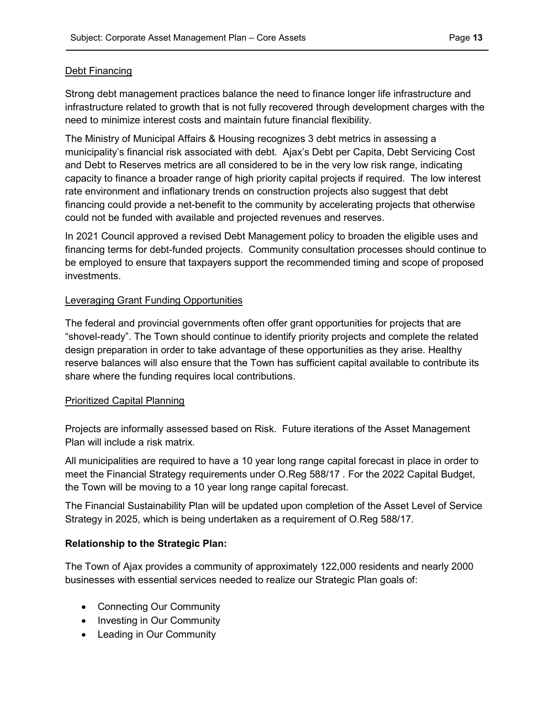### Debt Financing

Strong debt management practices balance the need to finance longer life infrastructure and infrastructure related to growth that is not fully recovered through development charges with the need to minimize interest costs and maintain future financial flexibility.

The Ministry of Municipal Affairs & Housing recognizes 3 debt metrics in assessing a municipality's financial risk associated with debt. Ajax's Debt per Capita, Debt Servicing Cost and Debt to Reserves metrics are all considered to be in the very low risk range, indicating capacity to finance a broader range of high priority capital projects if required. The low interest rate environment and inflationary trends on construction projects also suggest that debt financing could provide a net-benefit to the community by accelerating projects that otherwise could not be funded with available and projected revenues and reserves.

In 2021 Council approved a revised Debt Management policy to broaden the eligible uses and financing terms for debt-funded projects. Community consultation processes should continue to be employed to ensure that taxpayers support the recommended timing and scope of proposed investments.

### Leveraging Grant Funding Opportunities

The federal and provincial governments often offer grant opportunities for projects that are "shovel-ready". The Town should continue to identify priority projects and complete the related design preparation in order to take advantage of these opportunities as they arise. Healthy reserve balances will also ensure that the Town has sufficient capital available to contribute its share where the funding requires local contributions.

### Prioritized Capital Planning

Projects are informally assessed based on Risk. Future iterations of the Asset Management Plan will include a risk matrix.

All municipalities are required to have a 10 year long range capital forecast in place in order to meet the Financial Strategy requirements under O.Reg 588/17 . For the 2022 Capital Budget, the Town will be moving to a 10 year long range capital forecast.

The Financial Sustainability Plan will be updated upon completion of the Asset Level of Service Strategy in 2025, which is being undertaken as a requirement of O.Reg 588/17.

# Relationship to the Strategic Plan:

The Town of Ajax provides a community of approximately 122,000 residents and nearly 2000 businesses with essential services needed to realize our Strategic Plan goals of:

- Connecting Our Community
- Investing in Our Community
- Leading in Our Community